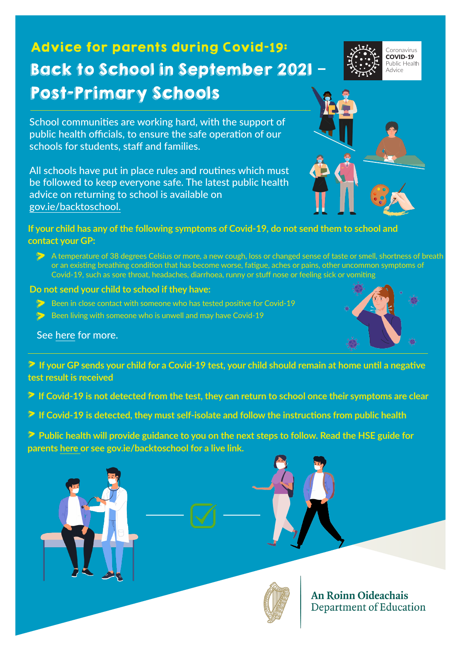# Advice for parents during Covid-**19**: Back to School in September 2021 **–** Post-Primary Schools

Coronavirus COVID-19 Public Health Advice

School communities are working hard, with the support of public health officials, to ensure the safe operation of our schools for students, staff and families.

All schools have put in place rules and routines which must be followed to keep everyone safe. The latest public health advice on returning to school is available on [gov.ie/](http://gov.ie/schools)backtoschool.

### **If your child has any of the following symptoms of Covid-19, do not send them to school and contact your GP:**

> A temperature of 38 degrees Celsius or more, a new cough, loss or changed sense of taste or smell, shortness of breath or an existing breathing condition that has become worse, fatigue, aches or pains, other uncommon symptoms of Covid-19, such as sore throat, headaches, diarrhoea, runny or stuff nose or feeling sick or vomiting

#### **Do not send your child to school if they have:**

- > Been in close contact with someone who has tested positive for Covid-19
- Been living with someone who is unwell and may have Covid-19

冶

See [here](https://www2.hse.ie/conditions/coronavirus/school-and-covid-19/when-you-should-keep-your-child-home.html) for more.

> **If your GP sends your child for a Covid-19 test, your child should remain at home until a negative test result is received**

- > **If Covid-19 is not detected from the test, they can return to school once their symptoms are clear**
- > **If Covid-19 is detected, they must self-isolate and follow the instructions from public health**
- > **Public health will provide guidance to you on the next steps to follow. Read the HSE guide for parents [here](https://www2.hse.ie/conditions/covid19/preventing-the-spread/protecting-your-child/) or see gov.ie/backtoschool for a live link.**





**An Roinn Oideachais** Department of Education